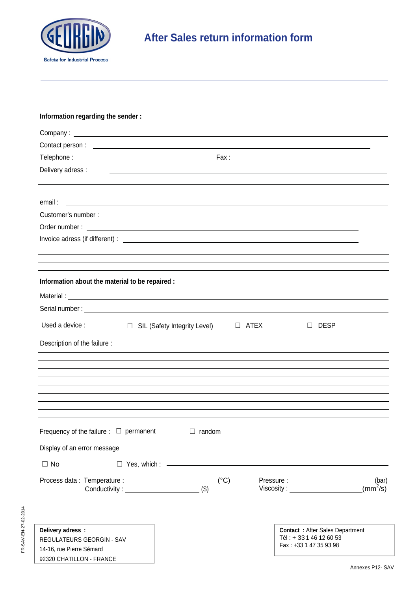

| Information regarding the sender :                                                                                                                                                                                                   |                                                                                                  |
|--------------------------------------------------------------------------------------------------------------------------------------------------------------------------------------------------------------------------------------|--------------------------------------------------------------------------------------------------|
|                                                                                                                                                                                                                                      |                                                                                                  |
|                                                                                                                                                                                                                                      |                                                                                                  |
|                                                                                                                                                                                                                                      | <u> 1989 - Johann Stoff, amerikansk politiker (d. 1989)</u>                                      |
| Delivery adress :<br>,我们也不会有什么。""我们的人,我们也不会有什么?""我们的人,我们也不会有什么?""我们的人,我们也不会有什么?""我们的人,我们也不会有什么?""我们的人                                                                                                                                |                                                                                                  |
| email:<br><u> Alexandria de la contrada de la contrada de la contrada de la contrada de la contrada de la contrada de la c</u>                                                                                                       |                                                                                                  |
|                                                                                                                                                                                                                                      |                                                                                                  |
|                                                                                                                                                                                                                                      |                                                                                                  |
|                                                                                                                                                                                                                                      |                                                                                                  |
|                                                                                                                                                                                                                                      |                                                                                                  |
| Information about the material to be repaired :                                                                                                                                                                                      |                                                                                                  |
| Material: <u>Contract of the Contract of the Contract of the Contract of the Contract of the Contract of the Contract of the Contract of the Contract of the Contract of the Contract of the Contract of the Contract of the Con</u> |                                                                                                  |
|                                                                                                                                                                                                                                      |                                                                                                  |
| Used a device :<br>$\Box$ ATEX<br>$\Box$ SIL (Safety Integrity Level)                                                                                                                                                                | <b>DESP</b>                                                                                      |
| Description of the failure :                                                                                                                                                                                                         |                                                                                                  |
|                                                                                                                                                                                                                                      |                                                                                                  |
| Frequency of the failure : $\Box$ permanent<br>$\Box$ random                                                                                                                                                                         |                                                                                                  |
| Display of an error message                                                                                                                                                                                                          |                                                                                                  |
| $\Box$ No                                                                                                                                                                                                                            |                                                                                                  |
|                                                                                                                                                                                                                                      | (bar)<br>Pressure : _______________________<br>$\overline{(mm^2/s)}$<br>Viscosity: New York 1997 |
| Delivery adress :<br>REGULATEURS GEORGIN - SAV<br>14-16, rue Pierre Sémard<br>92320 CHATILLON - FRANCE                                                                                                                               | <b>Contact : After Sales Department</b><br>Tél: +33146126053<br>Fax: +33 1 47 35 93 98           |